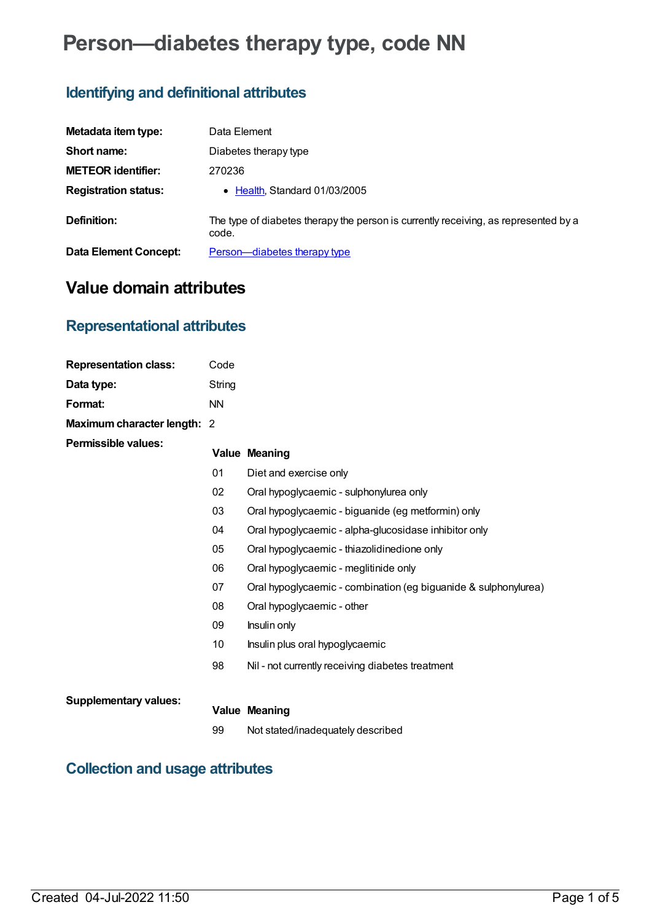# **Person—diabetes therapy type, code NN**

# **Identifying and definitional attributes**

| Metadata item type:          | Data Element                                                                                 |
|------------------------------|----------------------------------------------------------------------------------------------|
| Short name:                  | Diabetes therapy type                                                                        |
| <b>METEOR identifier:</b>    | 270236                                                                                       |
| <b>Registration status:</b>  | • Health, Standard 01/03/2005                                                                |
| Definition:                  | The type of diabetes therapy the person is currently receiving, as represented by a<br>code. |
| <b>Data Element Concept:</b> | Person-diabetes therapy type                                                                 |

# **Value domain attributes**

# **Representational attributes**

| <b>Representation class:</b> | Code      |                                                                 |
|------------------------------|-----------|-----------------------------------------------------------------|
| Data type:                   | String    |                                                                 |
| Format:                      | <b>NN</b> |                                                                 |
| Maximum character length: 2  |           |                                                                 |
| <b>Permissible values:</b>   |           | <b>Value Meaning</b>                                            |
|                              | 01        | Diet and exercise only                                          |
|                              | 02        | Oral hypoglycaemic - sulphonylurea only                         |
|                              | 03        | Oral hypoglycaemic - biguanide (eg metformin) only              |
|                              | 04        | Oral hypoglycaemic - alpha-glucosidase inhibitor only           |
|                              | 05        | Oral hypoglycaemic - thiazolidinedione only                     |
|                              | 06        | Oral hypoglycaemic - meglitinide only                           |
|                              | 07        | Oral hypoglycaemic - combination (eg biguanide & sulphonylurea) |
|                              | 08        | Oral hypoglycaemic - other                                      |
|                              | 09        | Insulin only                                                    |
|                              | 10        | Insulin plus oral hypoglycaemic                                 |
|                              | 98        | Nil - not currently receiving diabetes treatment                |
|                              |           |                                                                 |
| <b>Supplementary values:</b> |           | <b>Value Meaning</b>                                            |
|                              | 99        | Not stated/inadequately described                               |

# **Collection and usage attributes**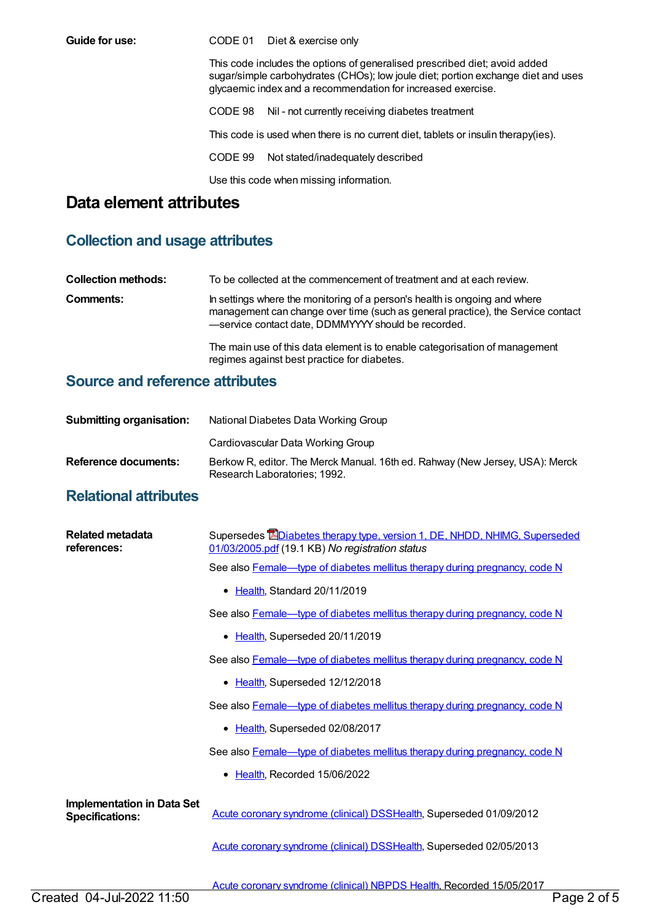**Guide for use:** CODE 01 Diet & exercise only

This code includes the options of generalised prescribed diet; avoid added sugar/simple carbohydrates (CHOs); low joule diet; portion exchange diet and uses glycaemic index and a recommendation for increased exercise.

CODE 98 Nil - not currently receiving diabetes treatment

This code is used when there is no current diet, tablets or insulin therapy(ies).

CODE 99 Not stated/inadequately described

Use this code when missing information.

### **Data element attributes**

### **Collection and usage attributes**

| <b>Collection methods:</b> | To be collected at the commencement of treatment and at each review.                                                                                                                                                 |
|----------------------------|----------------------------------------------------------------------------------------------------------------------------------------------------------------------------------------------------------------------|
| <b>Comments:</b>           | In settings where the monitoring of a person's health is ongoing and where<br>management can change over time (such as general practice), the Service contact<br>-service contact date. DDMMYYYY should be recorded. |

The main use of this data element is to enable categorisation of management regimes against best practice for diabetes.

### **Source and reference attributes**

| <b>Submitting organisation:</b> | National Diabetes Data Working Group                                                                         |
|---------------------------------|--------------------------------------------------------------------------------------------------------------|
|                                 | Cardiovascular Data Working Group                                                                            |
| Reference documents:            | Berkow R, editor. The Merck Manual. 16th ed. Rahway (New Jersey, USA): Merck<br>Research Laboratories; 1992. |

#### **Relational attributes**

| Related metadata<br>references:                             | Supersedes <b>E</b> Diabetes therapy type, version 1, DE, NHDD, NHIMG, Superseded<br>01/03/2005.pdf (19.1 KB) No registration status |
|-------------------------------------------------------------|--------------------------------------------------------------------------------------------------------------------------------------|
|                                                             | See also Female—type of diabetes mellitus therapy during pregnancy, code N                                                           |
|                                                             | • Health, Standard 20/11/2019                                                                                                        |
|                                                             | See also Female—type of diabetes mellitus therapy during pregnancy, code N                                                           |
|                                                             | • Health, Superseded 20/11/2019                                                                                                      |
|                                                             | See also <b>Female—type of diabetes mellitus therapy during pregnancy, code N</b>                                                    |
|                                                             | • Health, Superseded 12/12/2018                                                                                                      |
|                                                             | See also <b>Female—type of diabetes mellitus therapy during pregnancy, code N</b>                                                    |
|                                                             | • Health, Superseded 02/08/2017                                                                                                      |
|                                                             | See also <b>Female—type of diabetes mellitus therapy during pregnancy, code N</b>                                                    |
|                                                             | Health, Recorded 15/06/2022<br>٠                                                                                                     |
| <b>Implementation in Data Set</b><br><b>Specifications:</b> | Acute coronary syndrome (clinical) DSSHealth, Superseded 01/09/2012                                                                  |
|                                                             | Acute coronary syndrome (clinical) DSSHealth, Superseded 02/05/2013                                                                  |

Acute coronary [syndrome](https://meteor.aihw.gov.au/content/621789) (clinical) NBPDS [Health](https://meteor.aihw.gov.au/RegistrationAuthority/12), Recorded 15/05/2017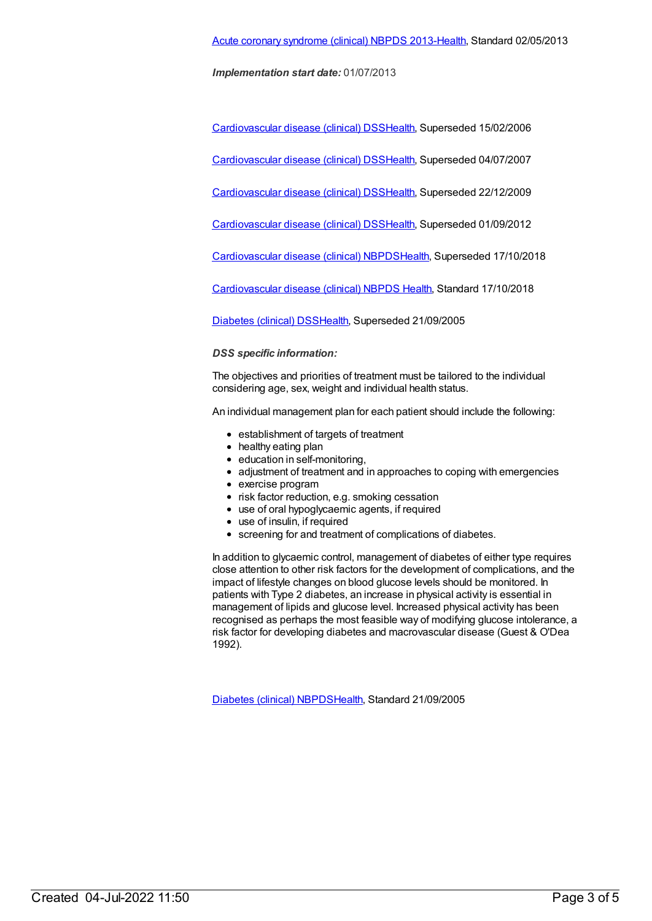*Implementation start date:* 01/07/2013

[Cardiovascular](https://meteor.aihw.gov.au/content/273052) disease (clinical) DS[SHealth,](https://meteor.aihw.gov.au/RegistrationAuthority/12) Superseded 15/02/2006

[Cardiovascular](https://meteor.aihw.gov.au/content/348289) disease (clinical) DS[SHealth,](https://meteor.aihw.gov.au/RegistrationAuthority/12) Superseded 04/07/2007

[Cardiovascular](https://meteor.aihw.gov.au/content/353668) disease (clinical) DS[SHealth,](https://meteor.aihw.gov.au/RegistrationAuthority/12) Superseded 22/12/2009

[Cardiovascular](https://meteor.aihw.gov.au/content/374213) disease (clinical) DS[SHealth,](https://meteor.aihw.gov.au/RegistrationAuthority/12) Superseded 01/09/2012

[Cardiovascular](https://meteor.aihw.gov.au/content/470731) disease (clinical) NBPD[SHealth](https://meteor.aihw.gov.au/RegistrationAuthority/12), Superseded 17/10/2018

[Cardiovascular](https://meteor.aihw.gov.au/content/697668) disease (clinical) NBPDS [Health](https://meteor.aihw.gov.au/RegistrationAuthority/12), Standard 17/10/2018

[Diabetes](https://meteor.aihw.gov.au/content/273054) (clinical) DSS[Health](https://meteor.aihw.gov.au/RegistrationAuthority/12), Superseded 21/09/2005

#### *DSS specific information:*

The objectives and priorities of treatment must be tailored to the individual considering age, sex, weight and individual health status.

An individual management plan for each patient should include the following:

- establishment of targets of treatment
- healthy eating plan
- education in self-monitoring,
- adjustment of treatment and in approaches to coping with emergencies
- exercise program
- risk factor reduction, e.g. smoking cessation
- use of oral hypoglycaemic agents, if required
- use of insulin, if required
- screening for and treatment of complications of diabetes.

In addition to glycaemic control, management of diabetes of either type requires close attention to other risk factors for the development of complications, and the impact of lifestyle changes on blood glucose levels should be monitored. In patients with Type 2 diabetes, an increase in physical activity is essential in management of lipids and glucose level. Increased physical activity has been recognised as perhaps the most feasible way of modifying glucose intolerance, a risk factor for developing diabetes and macrovascular disease (Guest & O'Dea 1992).

[Diabetes](https://meteor.aihw.gov.au/content/304865) (clinical) NBPD[SHealth](https://meteor.aihw.gov.au/RegistrationAuthority/12), Standard 21/09/2005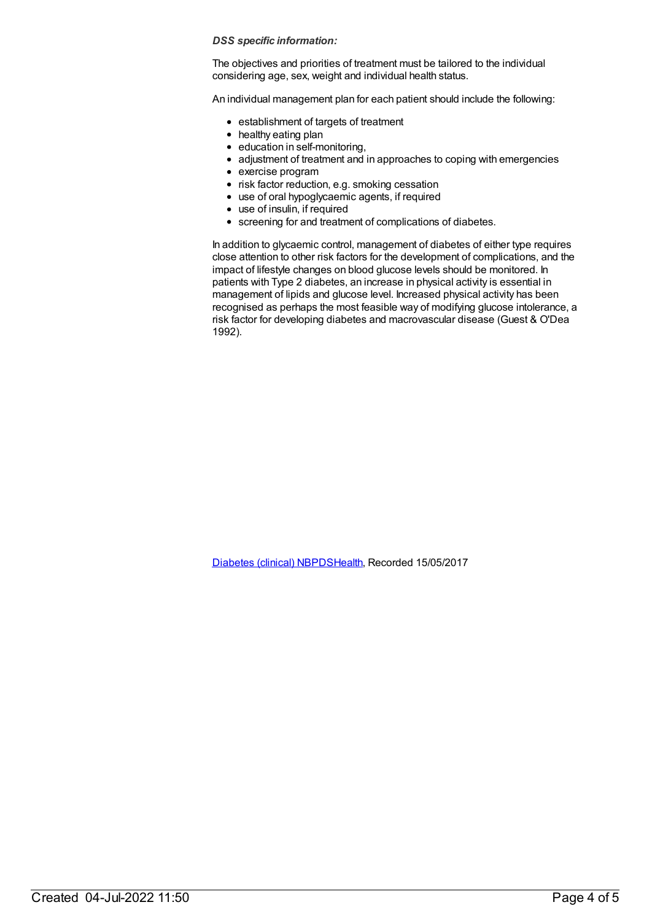#### *DSS specific information:*

The objectives and priorities of treatment must be tailored to the individual considering age, sex, weight and individual health status.

An individual management plan for each patient should include the following:

- establishment of targets of treatment
- healthy eating plan
- education in self-monitoring,
- adjustment of treatment and in approaches to coping with emergencies
- exercise program
- risk factor reduction, e.g. smoking cessation
- use of oral hypoglycaemic agents, if required
- use of insulin, if required
- screening for and treatment of complications of diabetes.

In addition to glycaemic control, management of diabetes of either type requires close attention to other risk factors for the development of complications, and the impact of lifestyle changes on blood glucose levels should be monitored. In patients with Type 2 diabetes, an increase in physical activity is essential in management of lipids and glucose level. Increased physical activity has been recognised as perhaps the most feasible way of modifying glucose intolerance, a risk factor for developing diabetes and macrovascular disease (Guest & O'Dea 1992).

[Diabetes](https://meteor.aihw.gov.au/content/621784) (clinical) NBPD[SHealth](https://meteor.aihw.gov.au/RegistrationAuthority/12), Recorded 15/05/2017